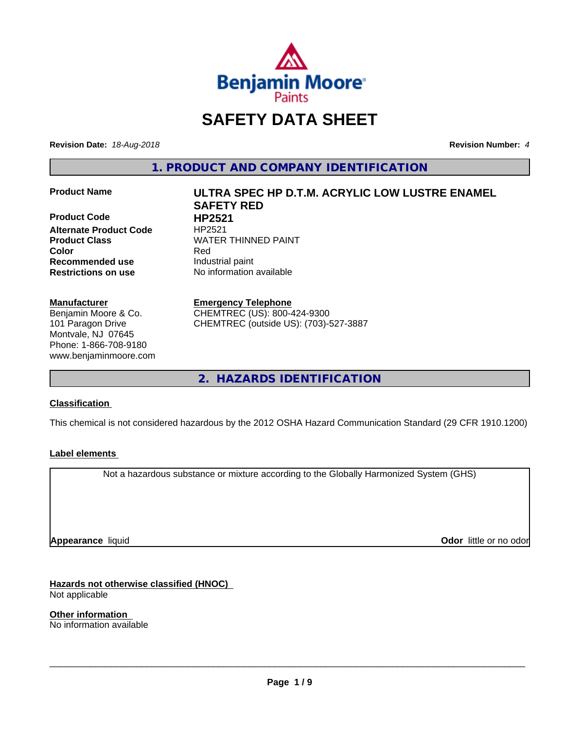

# **SAFETY DATA SHEET**

**Revision Date:** *18-Aug-2018* **Revision Number:** *4*

**1. PRODUCT AND COMPANY IDENTIFICATION**

**Product Code HP2521 Alternate Product Code** HP2521 **Recommended use** Industrial paint **Restrictions on use** No information available

#### **Manufacturer**

Benjamin Moore & Co. 101 Paragon Drive Montvale, NJ 07645 Phone: 1-866-708-9180 www.benjaminmoore.com

# **Product Name ULTRA SPEC HP D.T.M. ACRYLIC LOW LUSTRE ENAMEL SAFETY RED Product Class WATER THINNED PAINT Color** Red

#### **Emergency Telephone**

CHEMTREC (US): 800-424-9300 CHEMTREC (outside US): (703)-527-3887

**2. HAZARDS IDENTIFICATION**

#### **Classification**

This chemical is not considered hazardous by the 2012 OSHA Hazard Communication Standard (29 CFR 1910.1200)

#### **Label elements**

Not a hazardous substance or mixture according to the Globally Harmonized System (GHS)

**Appearance** liquid

**Odor** little or no odor

**Hazards not otherwise classified (HNOC)** Not applicable

**Other information** No information available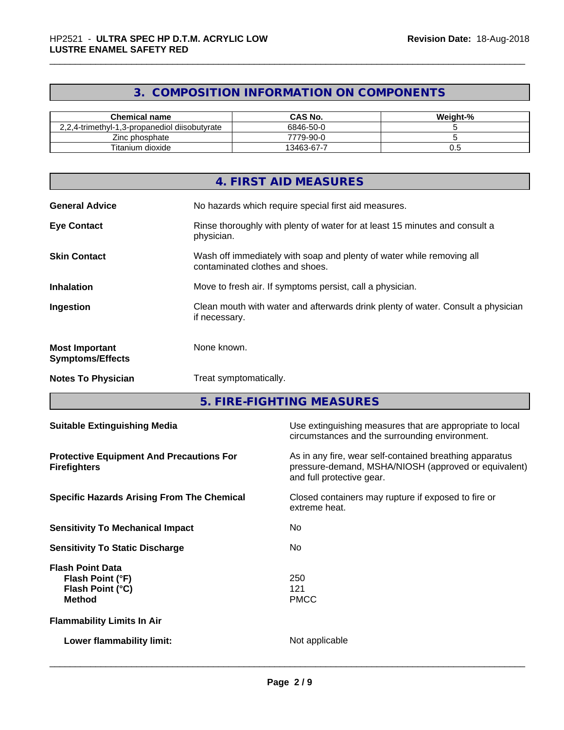## **3. COMPOSITION INFORMATION ON COMPONENTS**

| <b>Chemical name</b>                          | CAS No.    | Weight-% |
|-----------------------------------------------|------------|----------|
| 2,2,4-trimethyl-1,3-propanediol diisobutyrate | 6846-50-0  |          |
| Zinc phosphate                                | 7779-90-0  |          |
| Titanium dioxide                              | 13463-67-7 | v.J      |

|                                                  | 4. FIRST AID MEASURES                                                                                    |
|--------------------------------------------------|----------------------------------------------------------------------------------------------------------|
| <b>General Advice</b>                            | No hazards which require special first aid measures.                                                     |
| <b>Eye Contact</b>                               | Rinse thoroughly with plenty of water for at least 15 minutes and consult a<br>physician.                |
| <b>Skin Contact</b>                              | Wash off immediately with soap and plenty of water while removing all<br>contaminated clothes and shoes. |
| <b>Inhalation</b>                                | Move to fresh air. If symptoms persist, call a physician.                                                |
| Ingestion                                        | Clean mouth with water and afterwards drink plenty of water. Consult a physician<br>if necessary.        |
| <b>Most Important</b><br><b>Symptoms/Effects</b> | None known.                                                                                              |
| <b>Notes To Physician</b>                        | Treat symptomatically.                                                                                   |

**5. FIRE-FIGHTING MEASURES**

| Use extinguishing measures that are appropriate to local<br>circumstances and the surrounding environment.                                   |
|----------------------------------------------------------------------------------------------------------------------------------------------|
| As in any fire, wear self-contained breathing apparatus<br>pressure-demand, MSHA/NIOSH (approved or equivalent)<br>and full protective gear. |
| Closed containers may rupture if exposed to fire or<br>extreme heat.                                                                         |
| No.                                                                                                                                          |
| No.                                                                                                                                          |
| 250<br>121<br><b>PMCC</b>                                                                                                                    |
|                                                                                                                                              |
| Not applicable                                                                                                                               |
|                                                                                                                                              |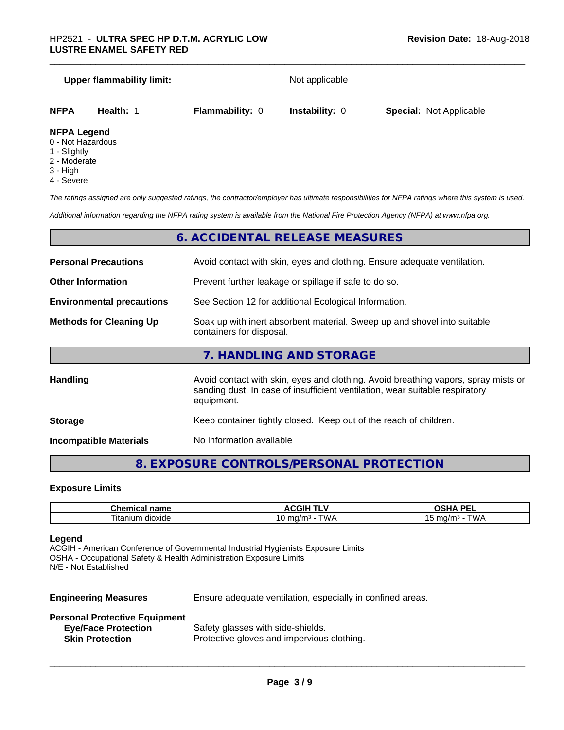#### **Upper flammability limit:** Not applicable

| <u>NFPA</u> | Health: | <b>Flammability: 0</b> | <b>Instability: 0</b> | <b>Special: Not Applicable</b> |  |
|-------------|---------|------------------------|-----------------------|--------------------------------|--|
| .           |         |                        |                       |                                |  |

#### **NFPA Legend**

- 0 Not Hazardous
- 1 Slightly
- 2 Moderate
- 3 High
- 4 Severe

*The ratings assigned are only suggested ratings, the contractor/employer has ultimate responsibilities for NFPA ratings where this system is used.*

*Additional information regarding the NFPA rating system is available from the National Fire Protection Agency (NFPA) at www.nfpa.org.*

#### **6. ACCIDENTAL RELEASE MEASURES**

| <b>Personal Precautions</b>                                                                                                            | Avoid contact with skin, eyes and clothing. Ensure adequate ventilation.                                                                                                         |
|----------------------------------------------------------------------------------------------------------------------------------------|----------------------------------------------------------------------------------------------------------------------------------------------------------------------------------|
| <b>Other Information</b>                                                                                                               | Prevent further leakage or spillage if safe to do so.                                                                                                                            |
| <b>Environmental precautions</b>                                                                                                       | See Section 12 for additional Ecological Information.                                                                                                                            |
| Soak up with inert absorbent material. Sweep up and shovel into suitable<br><b>Methods for Cleaning Up</b><br>containers for disposal. |                                                                                                                                                                                  |
|                                                                                                                                        | 7. HANDLING AND STORAGE                                                                                                                                                          |
| <b>Handling</b>                                                                                                                        | Avoid contact with skin, eyes and clothing. Avoid breathing vapors, spray mists or<br>sanding dust. In case of insufficient ventilation, wear suitable respiratory<br>equipment. |
|                                                                                                                                        |                                                                                                                                                                                  |

**Storage Storage Keep container tightly closed. Keep out of the reach of children.** 

**Incompatible Materials** No information available

### **8. EXPOSURE CONTROLS/PERSONAL PROTECTION**

#### **Exposure Limits**

| ----<br>-------<br>ншсаг<br>παπιτ                    | ----<br>. .<br>זוטטר        | <b>DEI</b><br>$\mathbf{r}$<br>-- |
|------------------------------------------------------|-----------------------------|----------------------------------|
| $- \cdot$ .<br>minm<br>∣itai<br>dioxide ^<br>,,,,,,, | ٦M.<br>$-1$<br>.na/m°<br>ັບ | $m \alpha/m$<br>' WL<br>، س      |

#### **Legend**

ACGIH - American Conference of Governmental Industrial Hygienists Exposure Limits OSHA - Occupational Safety & Health Administration Exposure Limits N/E - Not Established

**Engineering Measures** Ensure adequate ventilation, especially in confined areas.

 $\overline{\phantom{a}}$  ,  $\overline{\phantom{a}}$  ,  $\overline{\phantom{a}}$  ,  $\overline{\phantom{a}}$  ,  $\overline{\phantom{a}}$  ,  $\overline{\phantom{a}}$  ,  $\overline{\phantom{a}}$  ,  $\overline{\phantom{a}}$  ,  $\overline{\phantom{a}}$  ,  $\overline{\phantom{a}}$  ,  $\overline{\phantom{a}}$  ,  $\overline{\phantom{a}}$  ,  $\overline{\phantom{a}}$  ,  $\overline{\phantom{a}}$  ,  $\overline{\phantom{a}}$  ,  $\overline{\phantom{a}}$ 

#### **Personal Protective Equipment**

| <b>Eye/Face Protection</b> | Safety glasses with side-shields.          |
|----------------------------|--------------------------------------------|
| <b>Skin Protection</b>     | Protective gloves and impervious clothing. |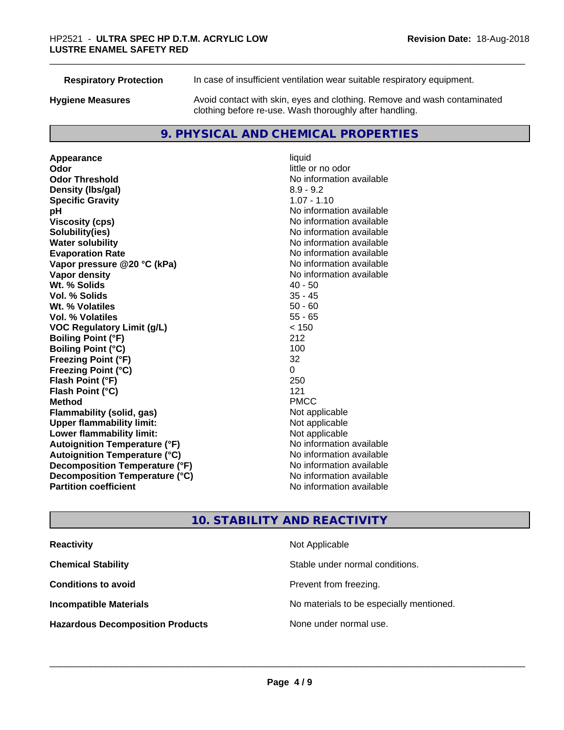**Respiratory Protection** In case of insufficient ventilation wear suitable respiratory equipment.

**Hygiene Measures** Avoid contact with skin, eyes and clothing. Remove and wash contaminated clothing before re-use. Wash thoroughly after handling.

#### **9. PHYSICAL AND CHEMICAL PROPERTIES**

**Appearance** liquid **Odor** little or no odor **Odor Threshold** No information available **Density (Ibs/gal)** 8.9 - 9.2 **Specific Gravity** 1.07 - 1.10 **pH** No information available **Viscosity (cps)** No information available **Solubility(ies)** No information available **Evaporation Rate No information available No information available Vapor pressure @20 °C (kPa)** No information available **Vapor density No information available No** information available **Wt. % Solids** 40 - 50 **Vol. % Solids Wt. % Volatiles** 50 - 60 **Vol. % Volatiles** 55 - 65 **VOC Regulatory Limit (g/L)** < 150 **Boiling Point (°F)** 212 **Boiling Point (°C)** 100 **Freezing Point (°F)** 32 **Freezing Point (°C)** 0 **Flash Point (°F) Flash Point (°C)** 121 **Method** PMCC **Flammability (solid, gas)** Not applicable<br> **Upper flammability limit:** Not applicable **Upper flammability limit: Lower flammability limit:** Not applicable **Autoignition Temperature (°F)** No information available **Autoignition Temperature (°C)** No information available **Decomposition Temperature (°F)** No information available **Decomposition Temperature (°C)** No information available **Partition coefficient Contract Contract Contract Contract Contract Contract Contract Contract Contract Contract Contract Contract Contract Contract Contract Contract Contract Contract Contract Contract Contract Contract** 

**No information available** 

#### **10. STABILITY AND REACTIVITY**

| <b>Reactivity</b>                       | Not Applicable                           |
|-----------------------------------------|------------------------------------------|
| <b>Chemical Stability</b>               | Stable under normal conditions.          |
| <b>Conditions to avoid</b>              | Prevent from freezing.                   |
| <b>Incompatible Materials</b>           | No materials to be especially mentioned. |
| <b>Hazardous Decomposition Products</b> | None under normal use.                   |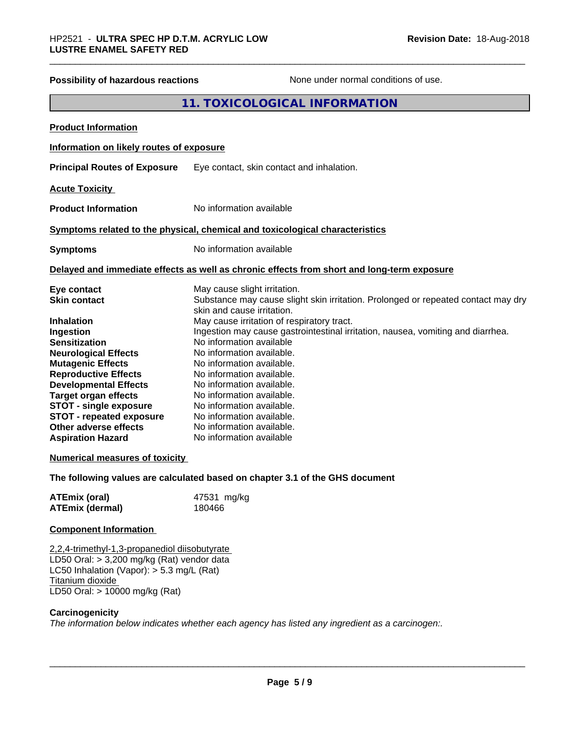| HP2521 - ULTRA SPEC HP D.T.M. ACRYLIC LOW<br>Revision Date: 18-Aug-2018<br><b>LUSTRE ENAMEL SAFETY RED</b>                                                                                                                                                                                                                        |                                                                                                                                                                                                                                                                                                                                            |                                                                                   |
|-----------------------------------------------------------------------------------------------------------------------------------------------------------------------------------------------------------------------------------------------------------------------------------------------------------------------------------|--------------------------------------------------------------------------------------------------------------------------------------------------------------------------------------------------------------------------------------------------------------------------------------------------------------------------------------------|-----------------------------------------------------------------------------------|
| Possibility of hazardous reactions                                                                                                                                                                                                                                                                                                |                                                                                                                                                                                                                                                                                                                                            | None under normal conditions of use.                                              |
|                                                                                                                                                                                                                                                                                                                                   | 11. TOXICOLOGICAL INFORMATION                                                                                                                                                                                                                                                                                                              |                                                                                   |
| <b>Product Information</b>                                                                                                                                                                                                                                                                                                        |                                                                                                                                                                                                                                                                                                                                            |                                                                                   |
| Information on likely routes of exposure                                                                                                                                                                                                                                                                                          |                                                                                                                                                                                                                                                                                                                                            |                                                                                   |
| <b>Principal Routes of Exposure</b>                                                                                                                                                                                                                                                                                               | Eye contact, skin contact and inhalation.                                                                                                                                                                                                                                                                                                  |                                                                                   |
| <b>Acute Toxicity</b>                                                                                                                                                                                                                                                                                                             |                                                                                                                                                                                                                                                                                                                                            |                                                                                   |
| <b>Product Information</b>                                                                                                                                                                                                                                                                                                        | No information available                                                                                                                                                                                                                                                                                                                   |                                                                                   |
|                                                                                                                                                                                                                                                                                                                                   | Symptoms related to the physical, chemical and toxicological characteristics                                                                                                                                                                                                                                                               |                                                                                   |
| <b>Symptoms</b>                                                                                                                                                                                                                                                                                                                   | No information available                                                                                                                                                                                                                                                                                                                   |                                                                                   |
|                                                                                                                                                                                                                                                                                                                                   | Delayed and immediate effects as well as chronic effects from short and long-term exposure                                                                                                                                                                                                                                                 |                                                                                   |
| Eye contact<br><b>Skin contact</b>                                                                                                                                                                                                                                                                                                | May cause slight irritation.<br>skin and cause irritation.                                                                                                                                                                                                                                                                                 | Substance may cause slight skin irritation. Prolonged or repeated contact may dry |
| Inhalation<br>Ingestion<br><b>Sensitization</b><br><b>Neurological Effects</b><br><b>Mutagenic Effects</b><br><b>Reproductive Effects</b><br><b>Developmental Effects</b><br><b>Target organ effects</b><br><b>STOT - single exposure</b><br><b>STOT - repeated exposure</b><br>Other adverse effects<br><b>Aspiration Hazard</b> | May cause irritation of respiratory tract.<br>No information available<br>No information available.<br>No information available.<br>No information available.<br>No information available.<br>No information available.<br>No information available.<br>No information available.<br>No information available.<br>No information available | Ingestion may cause gastrointestinal irritation, nausea, vomiting and diarrhea.   |
| <b>Numerical measures of toxicity</b>                                                                                                                                                                                                                                                                                             |                                                                                                                                                                                                                                                                                                                                            |                                                                                   |
|                                                                                                                                                                                                                                                                                                                                   | The following values are calculated based on chapter 3.1 of the GHS document                                                                                                                                                                                                                                                               |                                                                                   |
| <b>ATEmix (oral)</b><br><b>ATEmix (dermal)</b>                                                                                                                                                                                                                                                                                    | 47531 mg/kg<br>180466                                                                                                                                                                                                                                                                                                                      |                                                                                   |
| <b>Component Information</b>                                                                                                                                                                                                                                                                                                      |                                                                                                                                                                                                                                                                                                                                            |                                                                                   |
| 2,2,4-trimethyl-1,3-propanediol diisobutyrate<br>LD50 Oral: > 3,200 mg/kg (Rat) vendor data<br>LC50 Inhalation (Vapor): $> 5.3$ mg/L (Rat)<br>Titanium dioxide<br>LD50 Oral: > 10000 mg/kg (Rat)                                                                                                                                  |                                                                                                                                                                                                                                                                                                                                            |                                                                                   |

#### **Carcinogenicity**

*The information below indicateswhether each agency has listed any ingredient as a carcinogen:.*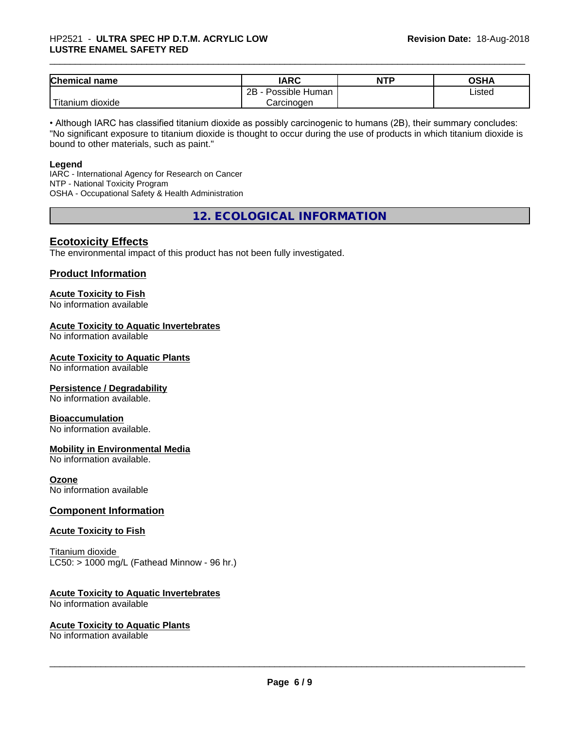## \_\_\_\_\_\_\_\_\_\_\_\_\_\_\_\_\_\_\_\_\_\_\_\_\_\_\_\_\_\_\_\_\_\_\_\_\_\_\_\_\_\_\_\_\_\_\_\_\_\_\_\_\_\_\_\_\_\_\_\_\_\_\_\_\_\_\_\_\_\_\_\_\_\_\_\_\_\_\_\_\_\_\_\_\_\_\_\_\_\_\_\_\_ HP2521 - **ULTRA SPEC HP D.T.M. ACRYLIC LOW LUSTRE ENAMEL SAFETY RED**

| <b>Chemical name</b>                       | <b>IARC</b>          | <b>NTP</b> | OSHA   |
|--------------------------------------------|----------------------|------------|--------|
|                                            | 2B<br>Possible Human |            | Listed |
| . . <del>. .</del><br>dioxide<br>l itanıum | Carcinogen           |            |        |

• Although IARC has classified titanium dioxide as possibly carcinogenic to humans (2B), their summary concludes: "No significant exposure to titanium dioxide is thought to occur during the use of products in which titanium dioxide is bound to other materials, such as paint."

#### **Legend**

IARC - International Agency for Research on Cancer NTP - National Toxicity Program OSHA - Occupational Safety & Health Administration

**12. ECOLOGICAL INFORMATION**

#### **Ecotoxicity Effects**

The environmental impact of this product has not been fully investigated.

#### **Product Information**

## **Acute Toxicity to Fish**

No information available

#### **Acute Toxicity to Aquatic Invertebrates**

No information available

#### **Acute Toxicity to Aquatic Plants**

No information available

#### **Persistence / Degradability**

No information available.

#### **Bioaccumulation**

No information available.

#### **Mobility in Environmental Media**

No information available.

#### **Ozone**

No information available

#### **Component Information**

#### **Acute Toxicity to Fish**

Titanium dioxide  $LC50:$  > 1000 mg/L (Fathead Minnow - 96 hr.)

#### **Acute Toxicity to Aquatic Invertebrates**

No information available

#### **Acute Toxicity to Aquatic Plants**

No information available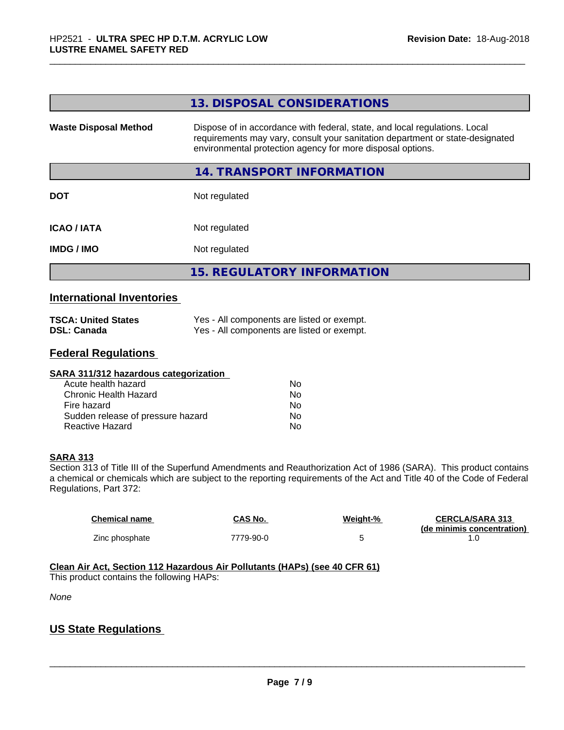|                              | 13. DISPOSAL CONSIDERATIONS                                                                                                                                                                                               |
|------------------------------|---------------------------------------------------------------------------------------------------------------------------------------------------------------------------------------------------------------------------|
| <b>Waste Disposal Method</b> | Dispose of in accordance with federal, state, and local regulations. Local<br>requirements may vary, consult your sanitation department or state-designated<br>environmental protection agency for more disposal options. |
|                              | 14. TRANSPORT INFORMATION                                                                                                                                                                                                 |
| <b>DOT</b>                   | Not regulated                                                                                                                                                                                                             |
| <b>ICAO/IATA</b>             | Not regulated                                                                                                                                                                                                             |
| <b>IMDG / IMO</b>            | Not regulated                                                                                                                                                                                                             |
|                              | <b>15. REGULATORY INFORMATION</b>                                                                                                                                                                                         |

## **International Inventories**

| <b>TSCA: United States</b> | Yes - All components are listed or exempt. |
|----------------------------|--------------------------------------------|
| <b>DSL: Canada</b>         | Yes - All components are listed or exempt. |

### **Federal Regulations**

| SARA 311/312 hazardous categorization |    |  |
|---------------------------------------|----|--|
| Acute health hazard                   | Nο |  |
| Chronic Health Hazard                 | No |  |
| Fire hazard                           | Nο |  |
| Sudden release of pressure hazard     | Nο |  |
| Reactive Hazard                       | No |  |

#### **SARA 313**

Section 313 of Title III of the Superfund Amendments and Reauthorization Act of 1986 (SARA). This product contains a chemical or chemicals which are subject to the reporting requirements of the Act and Title 40 of the Code of Federal Regulations, Part 372:

| Chemical name  | CAS No.   | Weight-% | <b>CERCLA/SARA 313</b>     |
|----------------|-----------|----------|----------------------------|
|                |           |          | (de minimis concentration) |
| Zinc phosphate | 7779-90-0 |          |                            |

## **Clean Air Act,Section 112 Hazardous Air Pollutants (HAPs) (see 40 CFR 61)**

This product contains the following HAPs:

*None*

### **US State Regulations**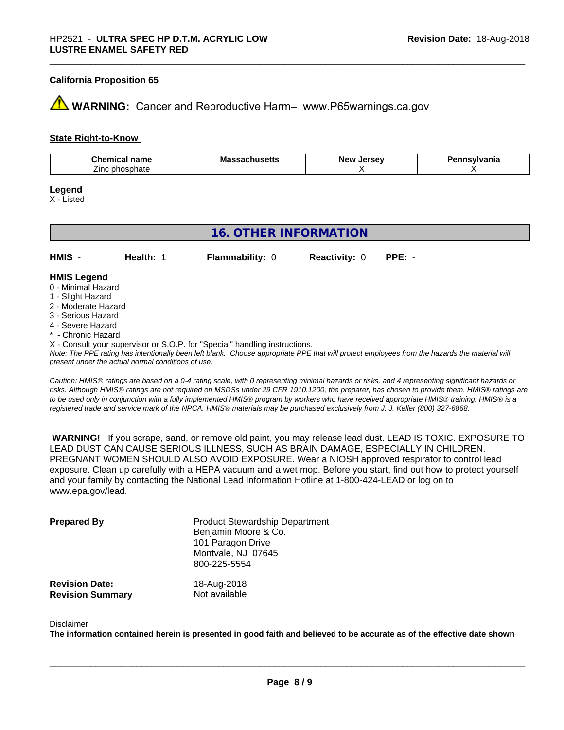#### **California Proposition 65**

## **A** WARNING: Cancer and Reproductive Harm– www.P65warnings.ca.gov

#### **State Right-to-Know**

| $\sim$ 1.<br>$\cdots$<br>.<br>name<br><b>UNEMICA.</b> | Mass<br>-<br>. | <b>Arca</b> u<br><b>Nev</b><br>.IF | /Ivania |
|-------------------------------------------------------|----------------|------------------------------------|---------|
| - -<br>∠inc<br>าosphate<br>nnr                        |                |                                    |         |

#### **Legend**

X - Listed

| <b>16. OTHER INFORMATION</b>                                                                                                                          |                                                    |                                                                            |                      |                                                                                                                                                 |
|-------------------------------------------------------------------------------------------------------------------------------------------------------|----------------------------------------------------|----------------------------------------------------------------------------|----------------------|-------------------------------------------------------------------------------------------------------------------------------------------------|
| HMIS ·                                                                                                                                                | Health: 1                                          | <b>Flammability: 0</b>                                                     | <b>Reactivity: 0</b> | $PPE: -$                                                                                                                                        |
| <b>HMIS Legend</b><br>0 - Minimal Hazard<br>1 - Slight Hazard<br>2 - Moderate Hazard<br>3 - Serious Hazard<br>4 - Severe Hazard<br>* - Chronic Hazard | present under the actual normal conditions of use. | X - Consult your supervisor or S.O.P. for "Special" handling instructions. |                      | Note: The PPE rating has intentionally been left blank. Choose appropriate PPE that will protect employees from the hazards the material will   |
|                                                                                                                                                       |                                                    |                                                                            |                      | Caution: HMIS® ratings are based on a 0-4 rating scale, with 0 representing minimal hazards or risks, and 4 representing significant hazards or |

*risks. Although HMISÒ ratings are not required on MSDSs under 29 CFR 1910.1200, the preparer, has chosen to provide them. HMISÒ ratings are to be used only in conjunction with a fully implemented HMISÒ program by workers who have received appropriate HMISÒ training. HMISÒ is a registered trade and service mark of the NPCA. HMISÒ materials may be purchased exclusively from J. J. Keller (800) 327-6868.*

 **WARNING!** If you scrape, sand, or remove old paint, you may release lead dust. LEAD IS TOXIC. EXPOSURE TO LEAD DUST CAN CAUSE SERIOUS ILLNESS, SUCH AS BRAIN DAMAGE, ESPECIALLY IN CHILDREN. PREGNANT WOMEN SHOULD ALSO AVOID EXPOSURE.Wear a NIOSH approved respirator to control lead exposure. Clean up carefully with a HEPA vacuum and a wet mop. Before you start, find out how to protect yourself and your family by contacting the National Lead Information Hotline at 1-800-424-LEAD or log on to www.epa.gov/lead.

| <b>Prepared By</b>      | <b>Product Stewardship Department</b><br>Benjamin Moore & Co.<br>101 Paragon Drive<br>Montvale, NJ 07645<br>800-225-5554 |
|-------------------------|--------------------------------------------------------------------------------------------------------------------------|
| <b>Revision Date:</b>   | 18-Aug-2018                                                                                                              |
| <b>Revision Summary</b> | Not available                                                                                                            |

#### Disclaimer

The information contained herein is presented in good faith and believed to be accurate as of the effective date shown